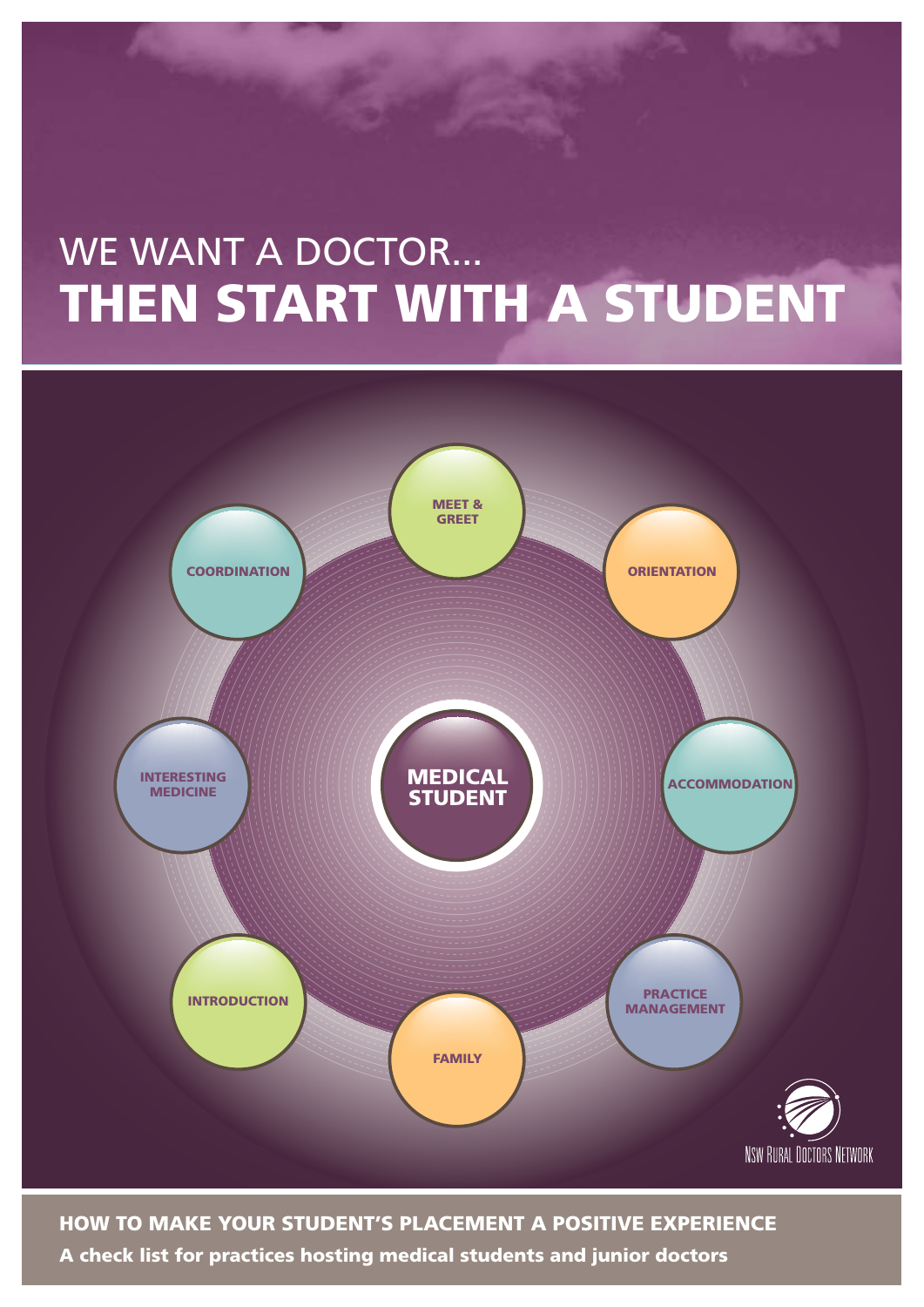# THEN START WITH A STUDENT WE WANT A DOCTOR...



## How to make your student's placement a positive experience

A check list for practices hosting medical students and junior doctors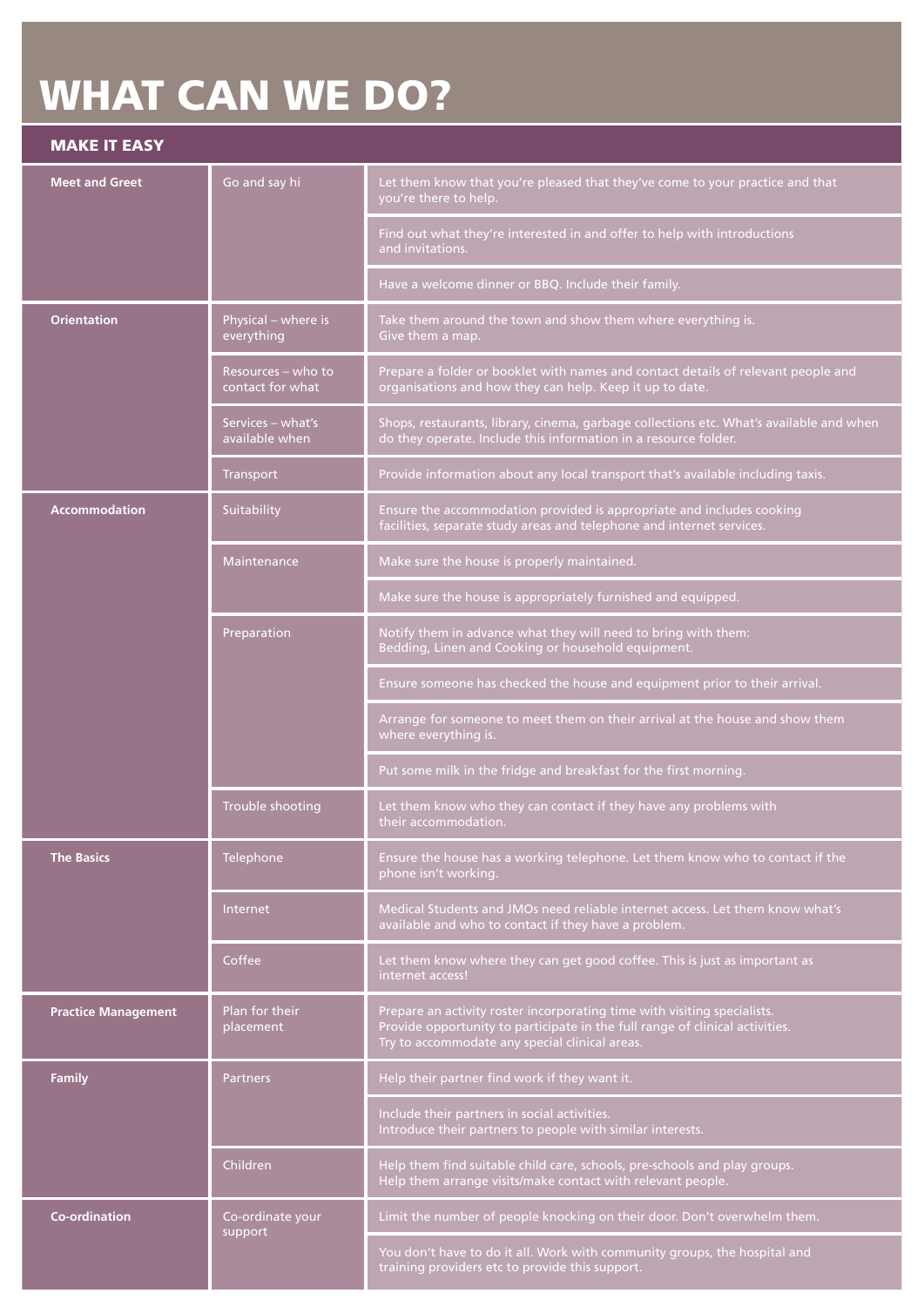## **WHAT CAN WE DO?**

## Make it easy

| <b>Meet and Greet</b>      | Go and say hi                          | Let them know that you're pleased that they've come to your practice and that<br>you're there to help.                                                                                                     |
|----------------------------|----------------------------------------|------------------------------------------------------------------------------------------------------------------------------------------------------------------------------------------------------------|
|                            |                                        | Find out what they're interested in and offer to help with introductions<br>and invitations.                                                                                                               |
|                            |                                        | Have a welcome dinner or BBQ. Include their family.                                                                                                                                                        |
| <b>Orientation</b>         | Physical - where is<br>everything      | Take them around the town and show them where everything is.<br>Give them a map.                                                                                                                           |
|                            | Resources – who to<br>contact for what | Prepare a folder or booklet with names and contact details of relevant people and<br>organisations and how they can help. Keep it up to date.                                                              |
|                            | Services - what's<br>available when    | Shops, restaurants, library, cinema, garbage collections etc. What's available and when<br>do they operate. Include this information in a resource folder.                                                 |
|                            | Transport                              | Provide information about any local transport that's available including taxis.                                                                                                                            |
| <b>Accommodation</b>       | Suitability                            | Ensure the accommodation provided is appropriate and includes cooking<br>facilities, separate study areas and telephone and internet services.                                                             |
|                            | Maintenance                            | Make sure the house is properly maintained.                                                                                                                                                                |
|                            |                                        | Make sure the house is appropriately furnished and equipped.                                                                                                                                               |
|                            | Preparation                            | Notify them in advance what they will need to bring with them:<br>Bedding, Linen and Cooking or household equipment.                                                                                       |
|                            |                                        | Ensure someone has checked the house and equipment prior to their arrival.                                                                                                                                 |
|                            |                                        | Arrange for someone to meet them on their arrival at the house and show them<br>where everything is.                                                                                                       |
|                            |                                        | Put some milk in the fridge and breakfast for the first morning.                                                                                                                                           |
|                            | Trouble shooting                       | Let them know who they can contact if they have any problems with<br>their accommodation.                                                                                                                  |
| <b>The Basics</b>          | Telephone                              | Ensure the house has a working telephone. Let them know who to contact if the<br>phone isn't working.                                                                                                      |
|                            | Internet                               | Medical Students and JMOs need reliable internet access. Let them know what's<br>available and who to contact if they have a problem.                                                                      |
|                            | Coffee                                 | Let them know where they can get good coffee. This is just as important as<br>internet access!                                                                                                             |
| <b>Practice Management</b> | Plan for their<br>placement            | Prepare an activity roster incorporating time with visiting specialists.<br>Provide opportunity to participate in the full range of clinical activities.<br>Try to accommodate any special clinical areas. |
| <b>Family</b>              | <b>Partners</b>                        | Help their partner find work if they want it.                                                                                                                                                              |
|                            |                                        | Include their partners in social activities.<br>Introduce their partners to people with similar interests.                                                                                                 |
|                            | Children                               | Help them find suitable child care, schools, pre-schools and play groups.<br>Help them arrange visits/make contact with relevant people.                                                                   |
| <b>Co-ordination</b>       | Co-ordinate your                       | Limit the number of people knocking on their door. Don't overwhelm them.                                                                                                                                   |
|                            | support                                | You don't have to do it all. Work with community groups, the hospital and<br>training providers etc to provide this support.                                                                               |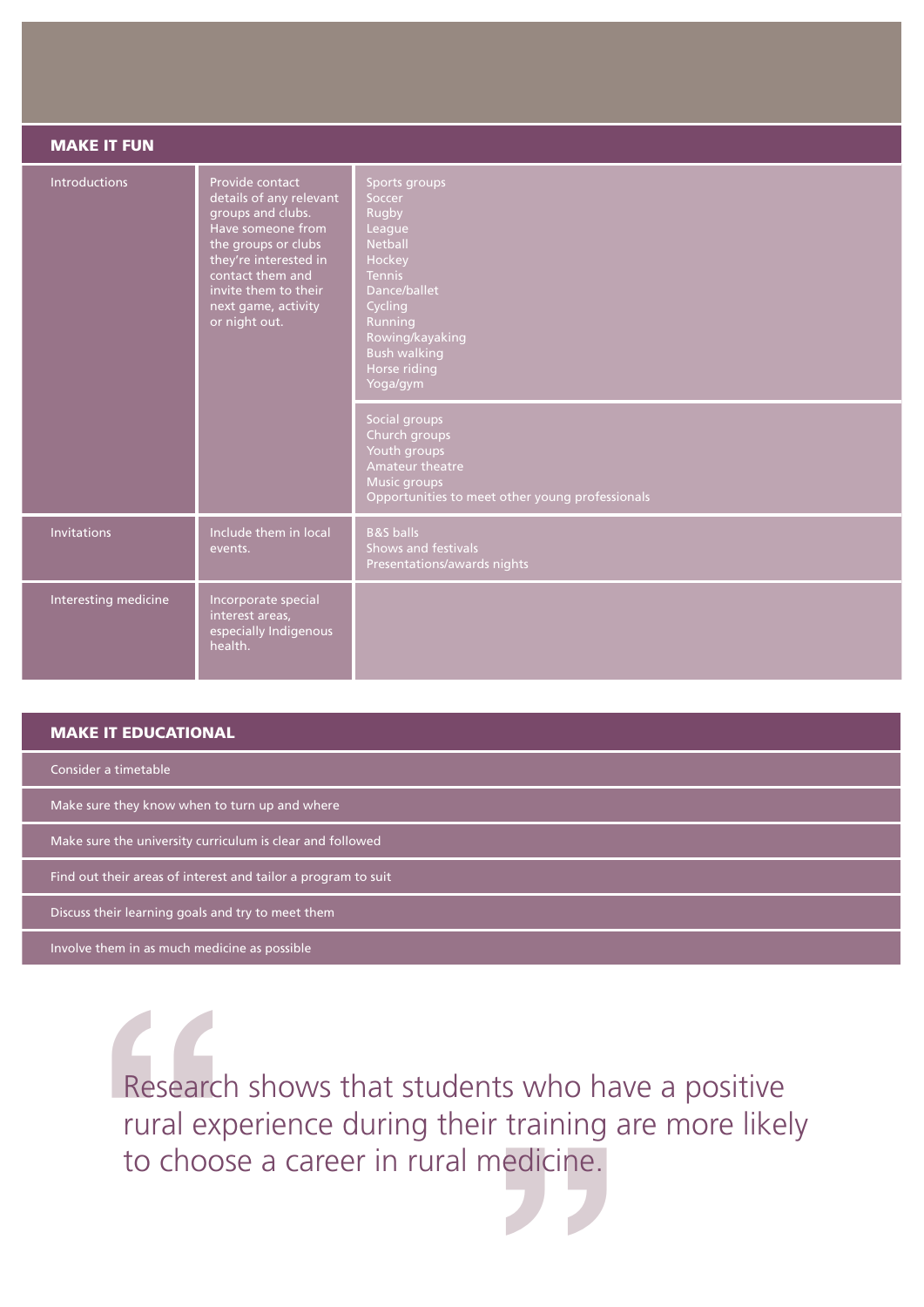| <b>MAKE IT FUN</b>   |                                                                                                                                                                                                                          |                                                                                                                                                                                                                                                                                                                                                    |  |
|----------------------|--------------------------------------------------------------------------------------------------------------------------------------------------------------------------------------------------------------------------|----------------------------------------------------------------------------------------------------------------------------------------------------------------------------------------------------------------------------------------------------------------------------------------------------------------------------------------------------|--|
| Introductions        | Provide contact<br>details of any relevant<br>groups and clubs.<br>Have someone from<br>the groups or clubs<br>they're interested in<br>contact them and<br>invite them to their<br>next game, activity<br>or night out. | Sports groups<br>Soccer<br>Rugby<br>League<br><b>Netball</b><br>Hockey<br><b>Tennis</b><br>Dance/ballet<br>Cycling<br>Running<br>Rowing/kayaking<br><b>Bush walking</b><br>Horse riding<br>Yoga/gym<br>Social groups<br>Church groups<br>Youth groups<br>Amateur theatre<br><b>Music groups</b><br>Opportunities to meet other young professionals |  |
| <b>Invitations</b>   | Include them in local<br>events.                                                                                                                                                                                         | <b>B&amp;S</b> balls<br>Shows and festivals<br>Presentations/awards nights                                                                                                                                                                                                                                                                         |  |
| Interesting medicine | Incorporate special<br>interest areas,<br>especially Indigenous<br>health.                                                                                                                                               |                                                                                                                                                                                                                                                                                                                                                    |  |

### Make it EDUCATIONAL

Consider a timetable

Make sure they know when to turn up and where

Make sure the university curriculum is clear and followed

Find out their areas of interest and tailor a program to suit

Discuss their learning goals and try to meet them

Involve them in as much medicine as possible

Research<br>
rural exp<br>
to choos s who ha<br>training a<br>edicine.<br>A Research shows that students who have a positive rural experience during their training are more likely to choose a career in rural medicine.